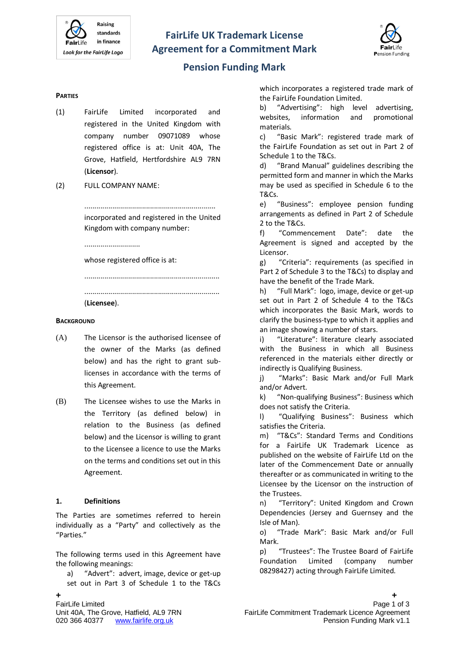



## **Pension Funding Mark**

#### **PARTIES**

- (1) FairLife Limited incorporated and registered in the United Kingdom with company number 09071089 whose registered office is at: Unit 40A, The Grove, Hatfield, Hertfordshire AL9 7RN (**Licensor**).
- (2) FULL COMPANY NAME:

.................................................................. incorporated and registered in the United Kingdom with company number:

.................................................................... ....................................................................

............................

whose registered office is at:

(**Licensee**).

#### **BACKGROUND**

- (A) The Licensor is the authorised licensee of the owner of the Marks (as defined below) and has the right to grant sublicenses in accordance with the terms of this Agreement.
- (B) The Licensee wishes to use the Marks in the Territory (as defined below) in relation to the Business (as defined below) and the Licensor is willing to grant to the Licensee a licence to use the Marks on the terms and conditions set out in this Agreement.

#### **1. Definitions**

The Parties are sometimes referred to herein individually as a "Party" and collectively as the "Parties."

The following terms used in this Agreement have the following meanings:

a) "Advert": advert, image, device or get-up set out in Part 3 of Schedule 1 to the T&Cs

which incorporates a registered trade mark of the FairLife Foundation Limited.

b) "Advertising": high level advertising, websites, information and promotional materials.

c) "Basic Mark": registered trade mark of the FairLife Foundation as set out in Part 2 of Schedule 1 to the T&Cs.

d) "Brand Manual" guidelines describing the permitted form and manner in which the Marks may be used as specified in Schedule 6 to the T&Cs.

e) "Business": employee pension funding arrangements as defined in Part 2 of Schedule 2 to the T&Cs.

f) "Commencement Date": date the Agreement is signed and accepted by the Licensor.

g) "Criteria": requirements (as specified in Part 2 of Schedule 3 to the T&Cs) to display and have the benefit of the Trade Mark.

h) "Full Mark": logo, image, device or get-up set out in Part 2 of Schedule 4 to the T&Cs which incorporates the Basic Mark, words to clarify the business-type to which it applies and an image showing a number of stars.

i) "Literature": literature clearly associated with the Business in which all Business referenced in the materials either directly or indirectly is Qualifying Business.

j) "Marks": Basic Mark and/or Full Mark and/or Advert.

k) "Non-qualifying Business": Business which does not satisfy the Criteria.

l) "Qualifying Business": Business which satisfies the Criteria.

m) "T&Cs": Standard Terms and Conditions for a FairLife UK Trademark Licence as published on the website of FairLife Ltd on the later of the Commencement Date or annually thereafter or as communicated in writing to the Licensee by the Licensor on the instruction of the Trustees.

n) "Territory": United Kingdom and Crown Dependencies [\(Jersey](http://en.wikipedia.org/wiki/Jersey) and [Guernsey](http://en.wikipedia.org/wiki/Guernsey) and the [Isle of Man\)](http://en.wikipedia.org/wiki/Isle_of_Man).

o) "Trade Mark": Basic Mark and/or Full Mark.

p) "Trustees": The Trustee Board of FairLife Foundation Limited (company number 08298427) acting through FairLife Limited.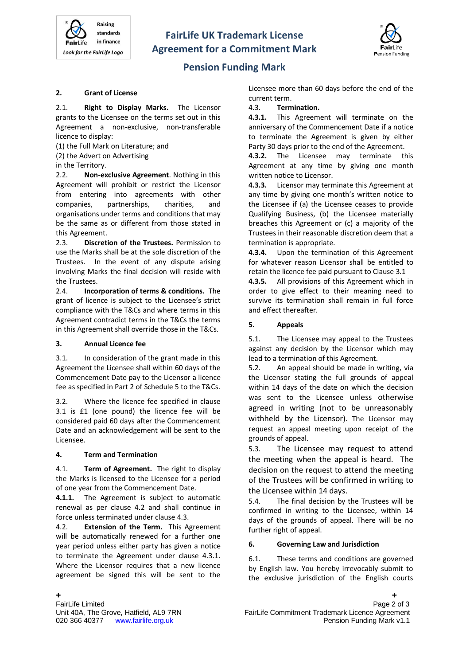



# **Pension Funding Mark**

#### **2. Grant of License**

2.1. **Right to Display Marks.** The Licensor grants to the Licensee on the terms set out in this Agreement a non-exclusive, non-transferable licence to display:

(1) the Full Mark on Literature; and

(2) the Advert on Advertising

#### in the Territory.

2.2. **Non-exclusive Agreement**. Nothing in this Agreement will prohibit or restrict the Licensor from entering into agreements with other companies, partnerships, charities, and organisations under terms and conditions that may be the same as or different from those stated in this Agreement.

2.3. **Discretion of the Trustees.** Permission to use the Marks shall be at the sole discretion of the Trustees. In the event of any dispute arising involving Marks the final decision will reside with the Trustees.

2.4. **Incorporation of terms & conditions.** The grant of licence is subject to the Licensee's strict compliance with the T&Cs and where terms in this Agreement contradict terms in the T&Cs the terms in this Agreement shall override those in the T&Cs.

## **3. Annual Licence fee**

3.1. In consideration of the grant made in this Agreement the Licensee shall within 60 days of the Commencement Date pay to the Licensor a licence fee as specified in Part 2 of Schedule 5 to the T&Cs.

3.2. Where the licence fee specified in clause 3.1 is £1 (one pound) the licence fee will be considered paid 60 days after the Commencement Date and an acknowledgement will be sent to the Licensee.

## **4. Term and Termination**

4.1. **Term of Agreement.** The right to display the Marks is licensed to the Licensee for a period of one year from the Commencement Date.

**4.1.1.** The Agreement is subject to automatic renewal as per clause 4.2 and shall continue in force unless terminated under clause 4.3.

4.2. **Extension of the Term.** This Agreement will be automatically renewed for a further one year period unless either party has given a notice to terminate the Agreement under clause 4.3.1. Where the Licensor requires that a new licence agreement be signed this will be sent to the

#### 4.3. **Termination.**

**4.3.1.** This Agreement will terminate on the anniversary of the Commencement Date if a notice to terminate the Agreement is given by either Party 30 days prior to the end of the Agreement.

**4.3.2.** The Licensee may terminate this Agreement at any time by giving one month written notice to Licensor.

**4.3.3.** Licensor may terminate this Agreement at any time by giving one month's written notice to the Licensee if (a) the Licensee ceases to provide Qualifying Business, (b) the Licensee materially breaches this Agreement or (c) a majority of the Trustees in their reasonable discretion deem that a termination is appropriate.

**4.3.4.** Upon the termination of this Agreement for whatever reason Licensor shall be entitled to retain the licence fee paid pursuant to Clause 3.1

**4.3.5.** All provisions of this Agreement which in order to give effect to their meaning need to survive its termination shall remain in full force and effect thereafter.

#### **5. Appeals**

5.1. The Licensee may appeal to the Trustees against any decision by the Licensor which may lead to a termination of this Agreement.

5.2. An appeal should be made in writing, via the Licensor stating the full grounds of appeal within 14 days of the date on which the decision was sent to the Licensee unless otherwise agreed in writing (not to be unreasonably withheld by the Licensor). The Licensor may request an appeal meeting upon receipt of the grounds of appeal.

5.3. The Licensee may request to attend the meeting when the appeal is heard. The decision on the request to attend the meeting of the Trustees will be confirmed in writing to the Licensee within 14 days.

5.4. The final decision by the Trustees will be confirmed in writing to the Licensee, within 14 days of the grounds of appeal. There will be no further right of appeal.

## **6. Governing Law and Jurisdiction**

6.1. These terms and conditions are governed by English law. You hereby irrevocably submit to the exclusive jurisdiction of the English courts